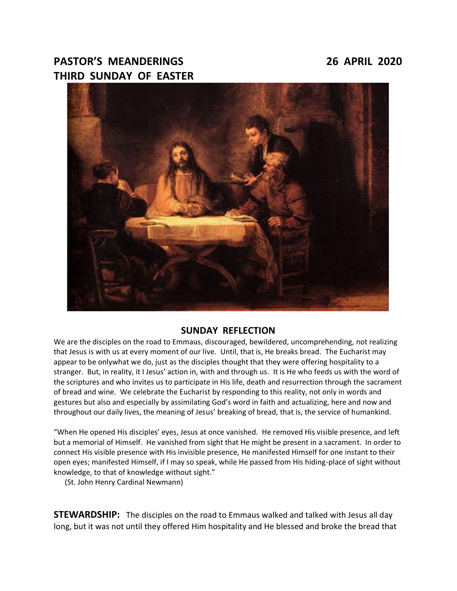# **PASTOR'S MEANDERINGS 26 APRIL 2020 THIRD SUNDAY OF EASTER**



## **SUNDAY REFLECTION**

We are the disciples on the road to Emmaus, discouraged, bewildered, uncomprehending, not realizing that Jesus is with us at every moment of our live. Until, that is, He breaks bread. The Eucharist may appear to be onlywhat we do, just as the disciples thought that they were offering hospitality to a stranger. But, in reality, it I Jesus' action in, with and through us. It is He who feeds us with the word of the scriptures and who invites us to participate in His life, death and resurrection through the sacrament of bread and wine. We celebrate the Eucharist by responding to this reality, not only in words and gestures but also and especially by assimilating God's word in faith and actualizing, here and now and throughout our daily lives, the meaning of Jesus' breaking of bread, that is, the service of humankind.

"When He opened His disciples' eyes, Jesus at once vanished. He removed His visible presence, and left but a memorial of Himself. He vanished from sight that He might be present in a sacrament. In order to connect His visible presence with His invisible presence, He manifested Himself for one instant to their open eyes; manifested Himself, if I may so speak, while He passed from His hiding-place of sight without knowledge, to that of knowledge without sight."

(St. John Henry Cardinal Newmann)

**STEWARDSHIP:** The disciples on the road to Emmaus walked and talked with Jesus all day long, but it was not until they offered Him hospitality and He blessed and broke the bread that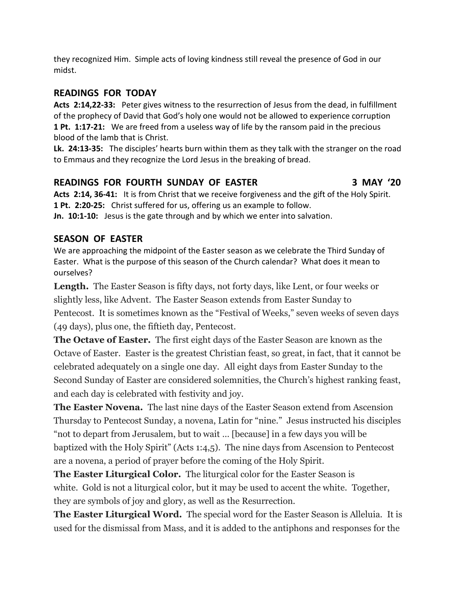they recognized Him. Simple acts of loving kindness still reveal the presence of God in our midst.

# **READINGS FOR TODAY**

**Acts 2:14,22-33:** Peter gives witness to the resurrection of Jesus from the dead, in fulfillment of the prophecy of David that God's holy one would not be allowed to experience corruption **1 Pt. 1:17-21:** We are freed from a useless way of life by the ransom paid in the precious blood of the lamb that is Christ.

**Lk. 24:13-35:** The disciples' hearts burn within them as they talk with the stranger on the road to Emmaus and they recognize the Lord Jesus in the breaking of bread.

# **READINGS FOR FOURTH SUNDAY OF EASTER 3 MAY '20**

**Acts 2:14, 36-41:** It is from Christ that we receive forgiveness and the gift of the Holy Spirit. **1 Pt. 2:20-25:** Christ suffered for us, offering us an example to follow. **Jn. 10:1-10:** Jesus is the gate through and by which we enter into salvation.

# **SEASON OF EASTER**

We are approaching the midpoint of the Easter season as we celebrate the Third Sunday of Easter. What is the purpose of this season of the Church calendar? What does it mean to ourselves?

**Length.** The Easter Season is fifty days, not forty days, like Lent, or four weeks or slightly less, like Advent. The Easter Season extends from Easter Sunday to Pentecost. It is sometimes known as the "Festival of Weeks," seven weeks of seven days (49 days), plus one, the fiftieth day, Pentecost.

**The Octave of Easter.** The first eight days of the Easter Season are known as the Octave of Easter. Easter is the greatest Christian feast, so great, in fact, that it cannot be celebrated adequately on a single one day. All eight days from Easter Sunday to the Second Sunday of Easter are considered solemnities, the Church's highest ranking feast, and each day is celebrated with festivity and joy.

**The Easter Novena.** The last nine days of the Easter Season extend from Ascension Thursday to Pentecost Sunday, a novena, Latin for "nine." Jesus instructed his disciples "not to depart from Jerusalem, but to wait … [because] in a few days you will be baptized with the Holy Spirit" (Acts 1:4,5). The nine days from Ascension to Pentecost are a novena, a period of prayer before the coming of the Holy Spirit.

**The Easter Liturgical Color.** The liturgical color for the Easter Season is white. Gold is not a liturgical color, but it may be used to accent the white. Together, they are symbols of joy and glory, as well as the Resurrection.

**The Easter Liturgical Word.** The special word for the Easter Season is Alleluia. It is used for the dismissal from Mass, and it is added to the antiphons and responses for the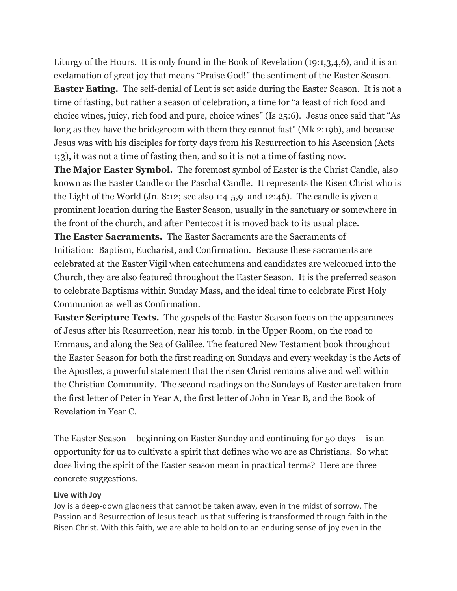Liturgy of the Hours. It is only found in the Book of Revelation (19:1,3,4,6), and it is an exclamation of great joy that means "Praise God!" the sentiment of the Easter Season. **Easter Eating.** The self-denial of Lent is set aside during the Easter Season. It is not a time of fasting, but rather a season of celebration, a time for "a feast of rich food and choice wines, juicy, rich food and pure, choice wines" (Is 25:6). Jesus once said that "As long as they have the bridegroom with them they cannot fast" (Mk 2:19b), and because Jesus was with his disciples for forty days from his Resurrection to his Ascension (Acts 1;3), it was not a time of fasting then, and so it is not a time of fasting now.

**The Major Easter Symbol.** The foremost symbol of Easter is the Christ Candle, also known as the Easter Candle or the Paschal Candle. It represents the Risen Christ who is the Light of the World (Jn. 8:12; see also 1:4-5,9 and 12:46). The candle is given a prominent location during the Easter Season, usually in the sanctuary or somewhere in the front of the church, and after Pentecost it is moved back to its usual place.

**The Easter Sacraments.** The Easter Sacraments are the Sacraments of Initiation: Baptism, Eucharist, and Confirmation. Because these sacraments are celebrated at the Easter Vigil when catechumens and candidates are welcomed into the Church, they are also featured throughout the Easter Season. It is the preferred season to celebrate Baptisms within Sunday Mass, and the ideal time to celebrate First Holy Communion as well as Confirmation.

**Easter Scripture Texts.** The gospels of the Easter Season focus on the appearances of Jesus after his Resurrection, near his tomb, in the Upper Room, on the road to Emmaus, and along the Sea of Galilee. The featured New Testament book throughout the Easter Season for both the first reading on Sundays and every weekday is the Acts of the Apostles, a powerful statement that the risen Christ remains alive and well within the Christian Community. The second readings on the Sundays of Easter are taken from the first letter of Peter in Year A, the first letter of John in Year B, and the Book of Revelation in Year C.

The Easter Season – beginning on Easter Sunday and continuing for 50 days – is an opportunity for us to cultivate a spirit that defines who we are as Christians. So what does living the spirit of the Easter season mean in practical terms? Here are three concrete suggestions.

#### **Live with Joy**

Joy is a deep-down gladness that cannot be taken away, even in the midst of sorrow. The Passion and Resurrection of Jesus teach us that suffering is transformed through faith in the Risen Christ. With this faith, we are able to hold on to an enduring sense of joy even in the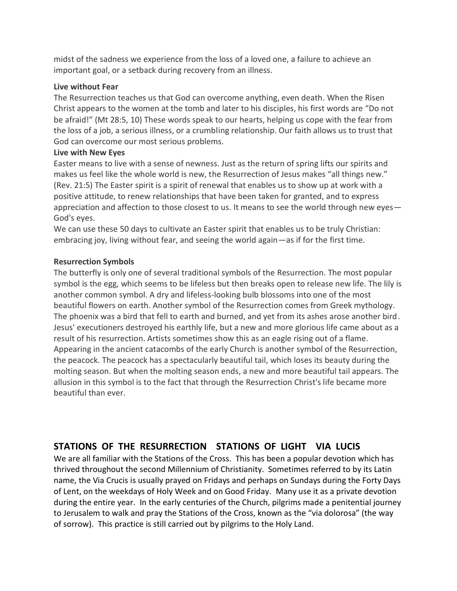midst of the sadness we experience from the loss of a loved one, a failure to achieve an important goal, or a setback during recovery from an illness.

#### **Live without Fear**

The Resurrection teaches us that God can overcome anything, even death. When the Risen Christ appears to the women at the tomb and later to his disciples, his first words are "Do not be afraid!" (Mt 28:5, 10) These words speak to our hearts, helping us cope with the fear from the loss of a job, a serious illness, or a crumbling relationship. Our faith allows us to trust that God can overcome our most serious problems.

## **Live with New Eyes**

Easter means to live with a sense of newness. Just as the return of spring lifts our spirits and makes us feel like the whole world is new, the Resurrection of Jesus makes "all things new." (Rev. 21:5) The Easter spirit is a spirit of renewal that enables us to show up at work with a positive attitude, to renew relationships that have been taken for granted, and to express appreciation and affection to those closest to us. It means to see the world through new eyes— God's eyes.

We can use these 50 days to cultivate an Easter spirit that enables us to be truly Christian: embracing joy, living without fear, and seeing the world again—as if for the first time.

## **Resurrection Symbols**

The butterfly is only one of several traditional symbols of the Resurrection. The most popular symbol is the egg, which seems to be lifeless but then breaks open to release new life. The lily is another common symbol. A dry and lifeless-looking bulb blossoms into one of the most beautiful flowers on earth. Another symbol of the Resurrection comes from Greek mythology. The phoenix was a bird that fell to earth and burned, and yet from its ashes arose another bird. Jesus' executioners destroyed his earthly life, but a new and more glorious life came about as a result of his resurrection. Artists sometimes show this as an eagle rising out of a flame. Appearing in the ancient catacombs of the early Church is another symbol of the Resurrection, the peacock. The peacock has a spectacularly beautiful tail, which loses its beauty during the molting season. But when the molting season ends, a new and more beautiful tail appears. The allusion in this symbol is to the fact that through the Resurrection Christ's life became more beautiful than ever.

# **STATIONS OF THE RESURRECTION STATIONS OF LIGHT VIA LUCIS**

We are all familiar with the Stations of the Cross. This has been a popular devotion which has thrived throughout the second Millennium of Christianity. Sometimes referred to by its Latin name, the Via Crucis is usually prayed on Fridays and perhaps on Sundays during the Forty Days of Lent, on the weekdays of Holy Week and on Good Friday. Many use it as a private devotion during the entire year. In the early centuries of the Church, pilgrims made a penitential journey to Jerusalem to walk and pray the Stations of the Cross, known as the "via dolorosa" (the way of sorrow). This practice is still carried out by pilgrims to the Holy Land.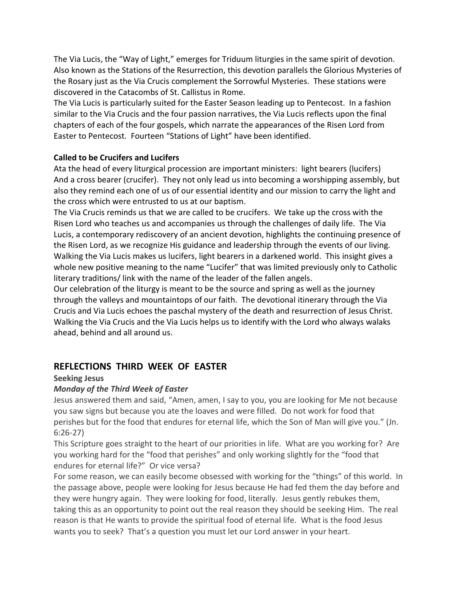The Via Lucis, the "Way of Light," emerges for Triduum liturgies in the same spirit of devotion. Also known as the Stations of the Resurrection, this devotion parallels the Glorious Mysteries of the Rosary just as the Via Crucis complement the Sorrowful Mysteries. These stations were discovered in the Catacombs of St. Callistus in Rome.

The Via Lucis is particularly suited for the Easter Season leading up to Pentecost. In a fashion similar to the Via Crucis and the four passion narratives, the Via Lucis reflects upon the final chapters of each of the four gospels, which narrate the appearances of the Risen Lord from Easter to Pentecost. Fourteen "Stations of Light" have been identified.

## **Called to be Crucifers and Lucifers**

Ata the head of every liturgical procession are important ministers: light bearers (lucifers) And a cross bearer (crucifer). They not only lead us into becoming a worshipping assembly, but also they remind each one of us of our essential identity and our mission to carry the light and the cross which were entrusted to us at our baptism.

The Via Crucis reminds us that we are called to be crucifers. We take up the cross with the Risen Lord who teaches us and accompanies us through the challenges of daily life. The Via Lucis, a contemporary rediscovery of an ancient devotion, highlights the continuing presence of the Risen Lord, as we recognize His guidance and leadership through the events of our living. Walking the Via Lucis makes us lucifers, light bearers in a darkened world. This insight gives a whole new positive meaning to the name "Lucifer" that was limited previously only to Catholic literary traditions/ link with the name of the leader of the fallen angels.

Our celebration of the liturgy is meant to be the source and spring as well as the journey through the valleys and mountaintops of our faith. The devotional itinerary through the Via Crucis and Via Lucis echoes the paschal mystery of the death and resurrection of Jesus Christ. Walking the Via Crucis and the Via Lucis helps us to identify with the Lord who always walaks ahead, behind and all around us.

# **REFLECTIONS THIRD WEEK OF EASTER**

#### **Seeking Jesus**

## *Monday of the Third Week of Easter*

Jesus answered them and said, "Amen, amen, I say to you, you are looking for Me not because you saw signs but because you ate the loaves and were filled. Do not work for food that perishes but for the food that endures for eternal life, which the Son of Man will give you." (Jn. 6:26-27)

This Scripture goes straight to the heart of our priorities in life. What are you working for? Are you working hard for the "food that perishes" and only working slightly for the "food that endures for eternal life?" Or vice versa?

For some reason, we can easily become obsessed with working for the "things" of this world. In the passage above, people were looking for Jesus because He had fed them the day before and they were hungry again. They were looking for food, literally. Jesus gently rebukes them, taking this as an opportunity to point out the real reason they should be seeking Him. The real reason is that He wants to provide the spiritual food of eternal life. What is the food Jesus wants you to seek? That's a question you must let our Lord answer in your heart.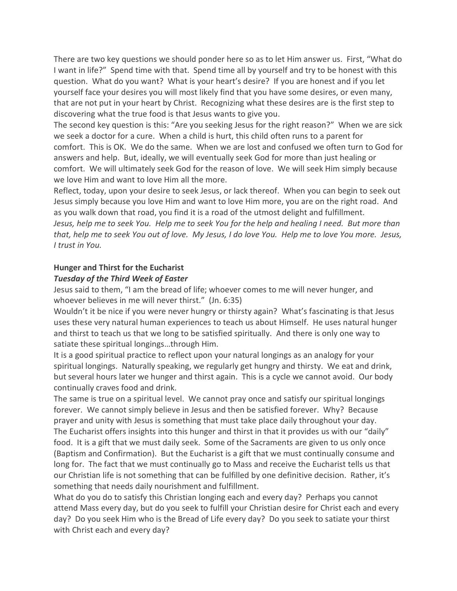There are two key questions we should ponder here so as to let Him answer us. First, "What do I want in life?" Spend time with that. Spend time all by yourself and try to be honest with this question. What do you want? What is your heart's desire? If you are honest and if you let yourself face your desires you will most likely find that you have some desires, or even many, that are not put in your heart by Christ. Recognizing what these desires are is the first step to discovering what the true food is that Jesus wants to give you.

The second key question is this: "Are you seeking Jesus for the right reason?" When we are sick we seek a doctor for a cure. When a child is hurt, this child often runs to a parent for comfort. This is OK. We do the same. When we are lost and confused we often turn to God for answers and help. But, ideally, we will eventually seek God for more than just healing or comfort. We will ultimately seek God for the reason of love. We will seek Him simply because we love Him and want to love Him all the more.

Reflect, today, upon your desire to seek Jesus, or lack thereof. When you can begin to seek out Jesus simply because you love Him and want to love Him more, you are on the right road. And as you walk down that road, you find it is a road of the utmost delight and fulfillment. Jesus, help me to seek You. Help me to seek You for the help and healing I need. But more than that, help me to seek You out of love. My Jesus, I do love You. Help me to love You more. Jesus, *I trust in You.*

## **Hunger and Thirst for the Eucharist**

#### *Tuesday of the Third Week of Easter*

Jesus said to them, "I am the bread of life; whoever comes to me will never hunger, and whoever believes in me will never thirst." (Jn. 6:35)

Wouldn't it be nice if you were never hungry or thirsty again? What's fascinating is that Jesus uses these very natural human experiences to teach us about Himself. He uses natural hunger and thirst to teach us that we long to be satisfied spiritually. And there is only one way to satiate these spiritual longings…through Him.

It is a good spiritual practice to reflect upon your natural longings as an analogy for your spiritual longings. Naturally speaking, we regularly get hungry and thirsty. We eat and drink, but several hours later we hunger and thirst again. This is a cycle we cannot avoid. Our body continually craves food and drink.

The same is true on a spiritual level. We cannot pray once and satisfy our spiritual longings forever. We cannot simply believe in Jesus and then be satisfied forever. Why? Because prayer and unity with Jesus is something that must take place daily throughout your day. The Eucharist offers insights into this hunger and thirst in that it provides us with our "daily" food. It is a gift that we must daily seek. Some of the Sacraments are given to us only once (Baptism and Confirmation). But the Eucharist is a gift that we must continually consume and long for. The fact that we must continually go to Mass and receive the Eucharist tells us that our Christian life is not something that can be fulfilled by one definitive decision. Rather, it's something that needs daily nourishment and fulfillment.

What do you do to satisfy this Christian longing each and every day? Perhaps you cannot attend Mass every day, but do you seek to fulfill your Christian desire for Christ each and every day? Do you seek Him who is the Bread of Life every day? Do you seek to satiate your thirst with Christ each and every day?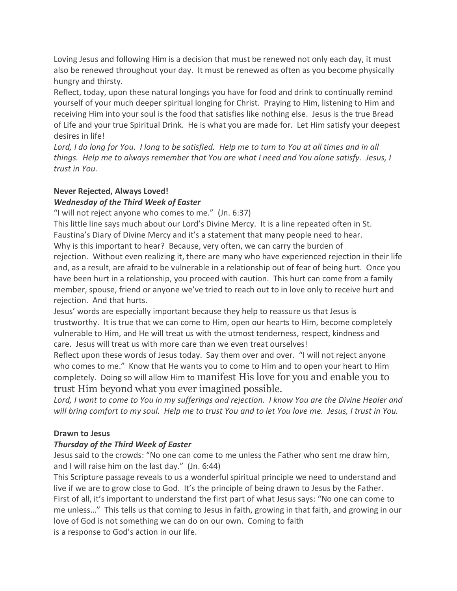Loving Jesus and following Him is a decision that must be renewed not only each day, it must also be renewed throughout your day. It must be renewed as often as you become physically hungry and thirsty.

Reflect, today, upon these natural longings you have for food and drink to continually remind yourself of your much deeper spiritual longing for Christ. Praying to Him, listening to Him and receiving Him into your soul is the food that satisfies like nothing else. Jesus is the true Bread of Life and your true Spiritual Drink. He is what you are made for. Let Him satisfy your deepest desires in life!

Lord, I do long for You. I long to be satisfied. Help me to turn to You at all times and in all *things. Help me to always remember that You are what I need and You alone satisfy. Jesus, I trust in You.*

#### **Never Rejected, Always Loved!** *Wednesday of the Third Week of Easter*

"I will not reject anyone who comes to me." (Jn. 6:37)

This little line says much about our Lord's Divine Mercy. It is a line repeated often in St. Faustina's Diary of Divine Mercy and it's a statement that many people need to hear. Why is this important to hear? Because, very often, we can carry the burden of rejection. Without even realizing it, there are many who have experienced rejection in their life and, as a result, are afraid to be vulnerable in a relationship out of fear of being hurt. Once you have been hurt in a relationship, you proceed with caution. This hurt can come from a family member, spouse, friend or anyone we've tried to reach out to in love only to receive hurt and rejection. And that hurts.

Jesus' words are especially important because they help to reassure us that Jesus is trustworthy. It is true that we can come to Him, open our hearts to Him, become completely vulnerable to Him, and He will treat us with the utmost tenderness, respect, kindness and care. Jesus will treat us with more care than we even treat ourselves!

Reflect upon these words of Jesus today. Say them over and over. "I will not reject anyone who comes to me." Know that He wants you to come to Him and to open your heart to Him completely. Doing so will allow Him to manifest His love for you and enable you to trust Him beyond what you ever imagined possible.

Lord, I want to come to You in my sufferings and rejection. I know You are the Divine Healer and will bring comfort to my soul. Help me to trust You and to let You love me. Jesus, I trust in You.

# **Drawn to Jesus**

# *Thursday of the Third Week of Easter*

Jesus said to the crowds: "No one can come to me unless the Father who sent me draw him, and I will raise him on the last day." (Jn. 6:44)

This Scripture passage reveals to us a wonderful spiritual principle we need to understand and live if we are to grow close to God. It's the principle of being drawn to Jesus by the Father. First of all, it's important to understand the first part of what Jesus says: "No one can come to me unless…" This tells us that coming to Jesus in faith, growing in that faith, and growing in our love of God is not something we can do on our own. Coming to faith is a response to God's action in our life.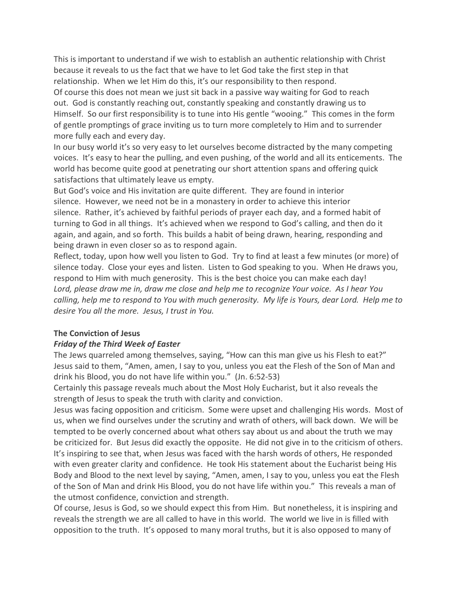This is important to understand if we wish to establish an authentic relationship with Christ because it reveals to us the fact that we have to let God take the first step in that relationship. When we let Him do this, it's our responsibility to then respond. Of course this does not mean we just sit back in a passive way waiting for God to reach out. God is constantly reaching out, constantly speaking and constantly drawing us to Himself. So our first responsibility is to tune into His gentle "wooing." This comes in the form of gentle promptings of grace inviting us to turn more completely to Him and to surrender more fully each and every day.

In our busy world it's so very easy to let ourselves become distracted by the many competing voices. It's easy to hear the pulling, and even pushing, of the world and all its enticements. The world has become quite good at penetrating our short attention spans and offering quick satisfactions that ultimately leave us empty.

But God's voice and His invitation are quite different. They are found in interior silence. However, we need not be in a monastery in order to achieve this interior silence. Rather, it's achieved by faithful periods of prayer each day, and a formed habit of turning to God in all things. It's achieved when we respond to God's calling, and then do it again, and again, and so forth. This builds a habit of being drawn, hearing, responding and being drawn in even closer so as to respond again.

Reflect, today, upon how well you listen to God. Try to find at least a few minutes (or more) of silence today. Close your eyes and listen. Listen to God speaking to you. When He draws you, respond to Him with much generosity. This is the best choice you can make each day! *Lord, please draw me in, draw me close and help me to recognize Your voice. As I hear You* calling, help me to respond to You with much generosity. My life is Yours, dear Lord. Help me to *desire You all the more. Jesus, I trust in You.*

#### **The Conviction of Jesus**

#### *Friday of the Third Week of Easter*

The Jews quarreled among themselves, saying, "How can this man give us his Flesh to eat?" Jesus said to them, "Amen, amen, I say to you, unless you eat the Flesh of the Son of Man and drink his Blood, you do not have life within you." (Jn. 6:52-53)

Certainly this passage reveals much about the Most Holy Eucharist, but it also reveals the strength of Jesus to speak the truth with clarity and conviction.

Jesus was facing opposition and criticism. Some were upset and challenging His words. Most of us, when we find ourselves under the scrutiny and wrath of others, will back down. We will be tempted to be overly concerned about what others say about us and about the truth we may be criticized for. But Jesus did exactly the opposite. He did not give in to the criticism of others. It's inspiring to see that, when Jesus was faced with the harsh words of others, He responded with even greater clarity and confidence. He took His statement about the Eucharist being His Body and Blood to the next level by saying, "Amen, amen, I say to you, unless you eat the Flesh of the Son of Man and drink His Blood, you do not have life within you." This reveals a man of the utmost confidence, conviction and strength.

Of course, Jesus is God, so we should expect this from Him. But nonetheless, it is inspiring and reveals the strength we are all called to have in this world. The world we live in is filled with opposition to the truth. It's opposed to many moral truths, but it is also opposed to many of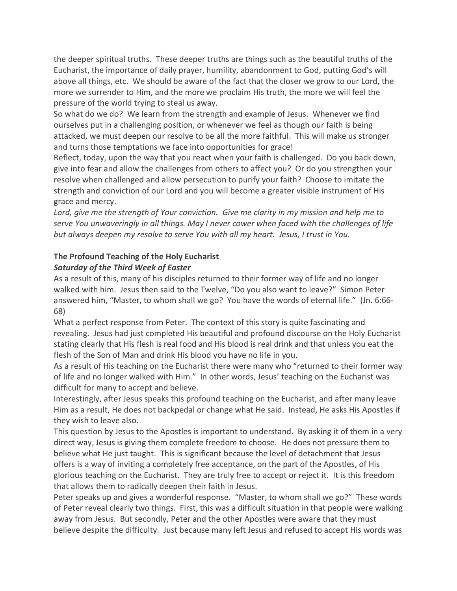the deeper spiritual truths. These deeper truths are things such as the beautiful truths of the Eucharist, the importance of daily prayer, humility, abandonment to God, putting God's will above all things, etc. We should be aware of the fact that the closer we grow to our Lord, the more we surrender to Him, and the more we proclaim His truth, the more we will feel the pressure of the world trying to steal us away.

So what do we do? We learn from the strength and example of Jesus. Whenever we find ourselves put in a challenging position, or whenever we feel as though our faith is being attacked, we must deepen our resolve to be all the more faithful. This will make us stronger and turns those temptations we face into opportunities for grace!

Reflect, today, upon the way that you react when your faith is challenged. Do you back down, give into fear and allow the challenges from others to affect you? Or do you strengthen your resolve when challenged and allow persecution to purify your faith? Choose to imitate the strength and conviction of our Lord and you will become a greater visible instrument of His grace and mercy.

*Lord, give me the strength of Your conviction. Give me clarity in my mission and help me to serve You unwaveringly in all things. May I never cower when faced with the challenges of life but always deepen my resolve to serve You with all my heart. Jesus, I trust in You.*

# **The Profound Teaching of the Holy Eucharist** *Saturday of the Third Week of Easter*

As a result of this, many of his disciples returned to their former way of life and no longer walked with him. Jesus then said to the Twelve, "Do you also want to leave?" Simon Peter answered him, "Master, to whom shall we go? You have the words of eternal life." (Jn. 6:66- 68)

What a perfect response from Peter. The context of this story is quite fascinating and revealing. Jesus had just completed His beautiful and profound discourse on the Holy Eucharist stating clearly that His flesh is real food and His blood is real drink and that unless you eat the flesh of the Son of Man and drink His blood you have no life in you.

As a result of His teaching on the Eucharist there were many who "returned to their former way of life and no longer walked with Him." In other words, Jesus' teaching on the Eucharist was difficult for many to accept and believe.

Interestingly, after Jesus speaks this profound teaching on the Eucharist, and after many leave Him as a result, He does not backpedal or change what He said. Instead, He asks His Apostles if they wish to leave also.

This question by Jesus to the Apostles is important to understand. By asking it of them in a very direct way, Jesus is giving them complete freedom to choose. He does not pressure them to believe what He just taught. This is significant because the level of detachment that Jesus offers is a way of inviting a completely free acceptance, on the part of the Apostles, of His glorious teaching on the Eucharist. They are truly free to accept or reject it. It is this freedom that allows them to radically deepen their faith in Jesus.

Peter speaks up and gives a wonderful response. "Master, to whom shall we go?" These words of Peter reveal clearly two things. First, this was a difficult situation in that people were walking away from Jesus. But secondly, Peter and the other Apostles were aware that they must believe despite the difficulty. Just because many left Jesus and refused to accept His words was